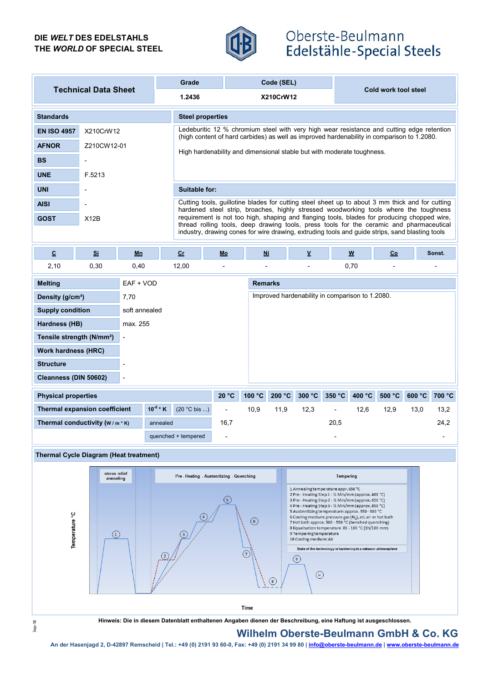### DIE WELT DES EDELSTAHLS THE WORLD OF SPECIAL STEEL



# Oberste-Beulmann Edelstähle-Special Steels

| <b>Technical Data Sheet</b> |             | Grade         | Code (SEL)                                                                                                                                                                                                                                                                                                                                                                                                                                                                             |                                                                        |  |  |  |  |
|-----------------------------|-------------|---------------|----------------------------------------------------------------------------------------------------------------------------------------------------------------------------------------------------------------------------------------------------------------------------------------------------------------------------------------------------------------------------------------------------------------------------------------------------------------------------------------|------------------------------------------------------------------------|--|--|--|--|
|                             |             | 1.2436        | <b>X210CrW12</b>                                                                                                                                                                                                                                                                                                                                                                                                                                                                       | Cold work tool steel                                                   |  |  |  |  |
| <b>Standards</b>            |             |               | <b>Steel properties</b>                                                                                                                                                                                                                                                                                                                                                                                                                                                                |                                                                        |  |  |  |  |
| <b>EN ISO 4957</b>          | X210CrW12   |               | Ledeburitic 12 % chromium steel with very high wear resistance and cutting edge retention<br>(high content of hard carbides) as well as improved hardenability in comparison to 1.2080.                                                                                                                                                                                                                                                                                                |                                                                        |  |  |  |  |
| <b>AFNOR</b>                | Z210CW12-01 |               |                                                                                                                                                                                                                                                                                                                                                                                                                                                                                        | High hardenability and dimensional stable but with moderate toughness. |  |  |  |  |
| <b>BS</b>                   |             |               |                                                                                                                                                                                                                                                                                                                                                                                                                                                                                        |                                                                        |  |  |  |  |
| <b>UNE</b>                  | F.5213      |               |                                                                                                                                                                                                                                                                                                                                                                                                                                                                                        |                                                                        |  |  |  |  |
| <b>UNI</b>                  |             | Suitable for: |                                                                                                                                                                                                                                                                                                                                                                                                                                                                                        |                                                                        |  |  |  |  |
| <b>AISI</b>                 |             |               | Cutting tools, guillotine blades for cutting steel sheet up to about 3 mm thick and for cutting<br>hardened steel strip, broaches, highly stressed woodworking tools where the toughness<br>requirement is not too high, shaping and flanging tools, blades for producing chopped wire,<br>thread rolling tools, deep drawing tools, press tools for the ceramic and pharmaceutical<br>industry, drawing cones for wire drawing, extruding tools and quide strips, sand blasting tools |                                                                        |  |  |  |  |
| <b>GOST</b>                 | X12B        |               |                                                                                                                                                                                                                                                                                                                                                                                                                                                                                        |                                                                        |  |  |  |  |

| $\underline{\textbf{c}}$                                                | $S_{\rm i}$ | Mn                                                      | $C_{r}$             | $Mo$             | N <sub>i</sub> | $\overline{\mathbf{v}}$ | $\pmb{\text{w}}$ |        | $\underline{\mathsf{Co}}$ |        | Sonst. |
|-------------------------------------------------------------------------|-------------|---------------------------------------------------------|---------------------|------------------|----------------|-------------------------|------------------|--------|---------------------------|--------|--------|
| 2,10                                                                    | 0,30        | 0,40                                                    | 12,00               | $\blacksquare$   | -              | ٠                       | 0,70             |        | $\overline{\phantom{0}}$  |        |        |
| <b>Melting</b>                                                          |             | EAF + VOD                                               |                     |                  | <b>Remarks</b> |                         |                  |        |                           |        |        |
| Density (g/cm <sup>3</sup> )                                            |             | Improved hardenability in comparison to 1.2080.<br>7,70 |                     |                  |                |                         |                  |        |                           |        |        |
| <b>Supply condition</b>                                                 |             |                                                         | soft annealed       |                  |                |                         |                  |        |                           |        |        |
| Hardness (HB)                                                           |             | max. 255                                                |                     |                  |                |                         |                  |        |                           |        |        |
| Tensile strength (N/mm <sup>2</sup> )                                   |             | $\blacksquare$                                          |                     |                  |                |                         |                  |        |                           |        |        |
| <b>Work hardness (HRC)</b>                                              |             |                                                         |                     |                  |                |                         |                  |        |                           |        |        |
| <b>Structure</b>                                                        |             |                                                         |                     |                  |                |                         |                  |        |                           |        |        |
| Cleanness (DIN 50602)<br>$\overline{\phantom{a}}$                       |             |                                                         |                     |                  |                |                         |                  |        |                           |        |        |
| <b>Physical properties</b>                                              |             |                                                         | 20 °C               | 100 °C<br>200 °C | 300 °C         | 350 °C                  | 400 °C           | 500 °C | 600 °C                    | 700 °C |        |
| $10^{-6}$ * K<br>$(20 °C$ bis )<br><b>Thermal expansion coefficient</b> |             | $\blacksquare$                                          | 11,9<br>10,9        | 12,3             | $\blacksquare$ | 12,6                    | 12,9             | 13,0   | 13,2                      |        |        |
| Thermal conductivity $(w/m * K)$<br>annealed                            |             |                                                         | 16,7                |                  |                | 20,5                    |                  |        |                           | 24,2   |        |
|                                                                         |             |                                                         | quenched + tempered | -                |                |                         |                  |        |                           |        | ۰      |





Hinweis: Die in diesem Datenblatt enthaltenen Angaben dienen der Beschreibung, eine Haftung ist ausgeschlossen.

# Wilhelm Oberste-Beulmann GmbH & Co. KG

An der Hasenjagd 2, D-42897 Remscheid | Tel.: +49 (0) 2191 93 60-0, Fax: +49 (0) 2191 93 60-0, Fax: +49 (0) 2191 34 99 80 | info@oberste-beulmann.de | www.oberste-beulmann.de | www.oberste-beulmann.de | www.oberste-beulman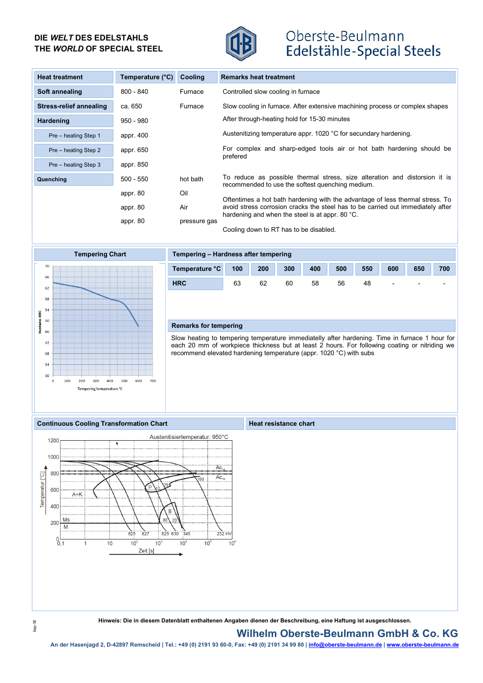### DIE WELT DES EDELSTAHLS THE WORLD OF SPECIAL STEEL



# Oberste-Beulmann Edelstähle-Special Steels

| <b>Heat treatment</b>   | Temperature (°C) | Cooling      | <b>Remarks heat treatment</b>                                                                                                      |
|-------------------------|------------------|--------------|------------------------------------------------------------------------------------------------------------------------------------|
| Soft annealing          | $800 - 840$      | Furnace      | Controlled slow cooling in furnace                                                                                                 |
| Stress-relief annealing | ca. 650          | Furnace      | Slow cooling in furnace. After extensive machining process or complex shapes                                                       |
| Hardening               | $950 - 980$      |              | After through-heating hold for 15-30 minutes                                                                                       |
| Pre - heating Step 1    | appr. 400        |              | Austenitizing temperature appr. 1020 °C for secundary hardening.                                                                   |
| Pre - heating Step 2    | appr. 650        |              | For complex and sharp-edged tools air or hot bath hardening should be<br>prefered                                                  |
| Pre - heating Step 3    | appr. 850        |              |                                                                                                                                    |
| Quenching               | $500 - 550$      | hot bath     | To reduce as possible thermal stress, size alteration and distorsion it is<br>recommended to use the softest quenching medium.     |
|                         | appr. 80         | Oil          | Oftentimes a hot bath hardening with the advantage of less thermal stress. To                                                      |
|                         | appr. 80         | Air          | avoid stress corrosion cracks the steel has to be carried out immediately after<br>hardening and when the steel is at appr. 80 °C. |
|                         | appr. 80         | pressure gas | Cooling down to RT has to be disabled.                                                                                             |



#### Tempering Chart Tempering – Hardness after tempering



### Remarks for tempering

Slow heating to tempering temperature immediatelly after hardening. Time in furnace 1 hour for each 20 mm of workpiece thickness but at least 2 hours. For following coating or nitriding we recommend elevated hardening temperature (appr. 1020 °C) with subs

#### Continuous Cooling Transformation Chart Heat resistance chart



Hinweis: Die in diesem Datenblatt enthaltenen Angaben dienen der Beschreibung, eine Haftung ist ausgeschlossen.

#### Wilhelm Oberste-Beulmann GmbH & Co. KG

An der Hasenjagd 2, D-42897 Remscheid | Tel.: +49 (0) 2191 93 60-0, Fax: +49 (0) 2191 93 60-0, Fax: +49 (0) 2191 93 60-0, Fax: +49 (0) 2191 93 60 | info@oberste-beulmann.de | www.oberste-beulmann.de | www.oberste-beulmann